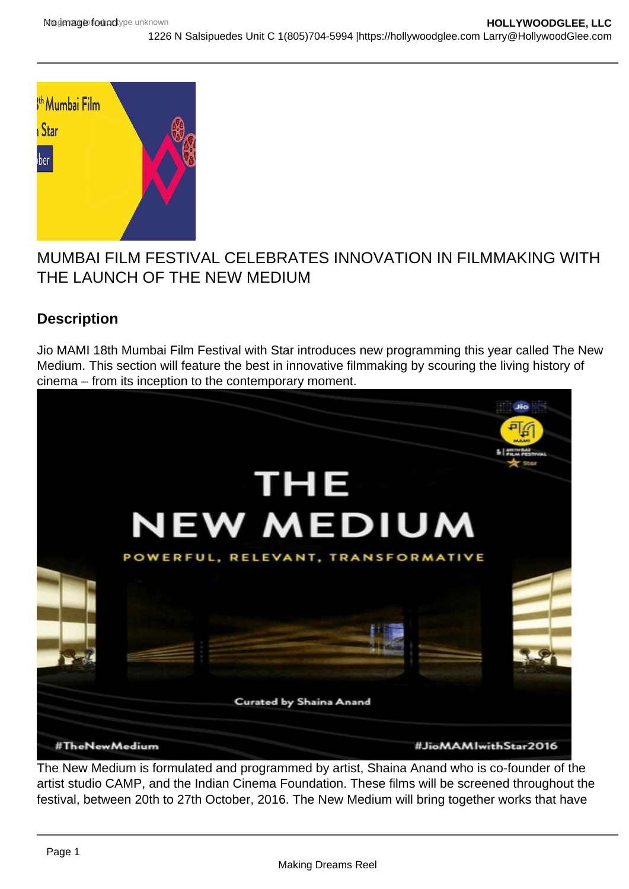

# MUMBAI FILM FESTIVAL CELEBRATES INNOVATION IN FILMMAKING WITH THE LAUNCH OF THE NEW MEDIUM

# **Description**

Jio MAMI 18th Mumbai Film Festival with Star introduces new programming this year called The New Medium. This section will feature the best in innovative filmmaking by scouring the living history of cinema – from its inception to the contemporary moment.



The New Medium is formulated and programmed by artist, Shaina Anand who is co-founder of the artist studio CAMP, and the Indian Cinema Foundation. These films will be screened throughout the festival, between 20th to 27th October, 2016. The New Medium will bring together works that have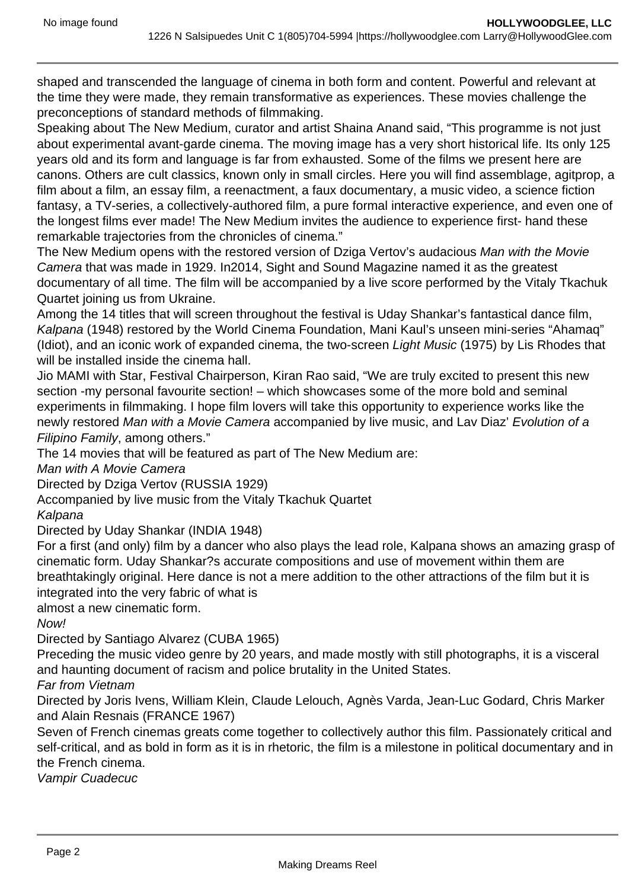shaped and transcended the language of cinema in both form and content. Powerful and relevant at the time they were made, they remain transformative as experiences. These movies challenge the preconceptions of standard methods of filmmaking.

Speaking about The New Medium, curator and artist Shaina Anand said, "This programme is not just about experimental avant-garde cinema. The moving image has a very short historical life. Its only 125 years old and its form and language is far from exhausted. Some of the films we present here are canons. Others are cult classics, known only in small circles. Here you will find assemblage, agitprop, a film about a film, an essay film, a reenactment, a faux documentary, a music video, a science fiction fantasy, a TV-series, a collectively-authored film, a pure formal interactive experience, and even one of the longest films ever made! The New Medium invites the audience to experience first- hand these remarkable trajectories from the chronicles of cinema."

The New Medium opens with the restored version of Dziga Vertov's audacious Man with the Movie Camera that was made in 1929. In2014, Sight and Sound Magazine named it as the greatest documentary of all time. The film will be accompanied by a live score performed by the Vitaly Tkachuk Quartet joining us from Ukraine.

Among the 14 titles that will screen throughout the festival is Uday Shankar's fantastical dance film, Kalpana (1948) restored by the World Cinema Foundation, Mani Kaul's unseen mini-series "Ahamaq" (Idiot), and an iconic work of expanded cinema, the two-screen Light Music (1975) by Lis Rhodes that will be installed inside the cinema hall.

Jio MAMI with Star, Festival Chairperson, Kiran Rao said, "We are truly excited to present this new section -my personal favourite section! – which showcases some of the more bold and seminal experiments in filmmaking. I hope film lovers will take this opportunity to experience works like the newly restored Man with a Movie Camera accompanied by live music, and Lav Diaz' Evolution of a Filipino Family, among others."

The 14 movies that will be featured as part of The New Medium are:

Man with A Movie Camera

Directed by Dziga Vertov (RUSSIA 1929)

Accompanied by live music from the Vitaly Tkachuk Quartet

Kalpana

Directed by Uday Shankar (INDIA 1948)

For a first (and only) film by a dancer who also plays the lead role, Kalpana shows an amazing grasp of cinematic form. Uday Shankar?s accurate compositions and use of movement within them are breathtakingly original. Here dance is not a mere addition to the other attractions of the film but it is integrated into the very fabric of what is

almost a new cinematic form.

Now!

Directed by Santiago Alvarez (CUBA 1965)

Preceding the music video genre by 20 years, and made mostly with still photographs, it is a visceral and haunting document of racism and police brutality in the United States.

### Far from Vietnam

Directed by Joris Ivens, William Klein, Claude Lelouch, Agnès Varda, Jean-Luc Godard, Chris Marker and Alain Resnais (FRANCE 1967)

Seven of French cinemas greats come together to collectively author this film. Passionately critical and self-critical, and as bold in form as it is in rhetoric, the film is a milestone in political documentary and in the French cinema.

Vampir Cuadecuc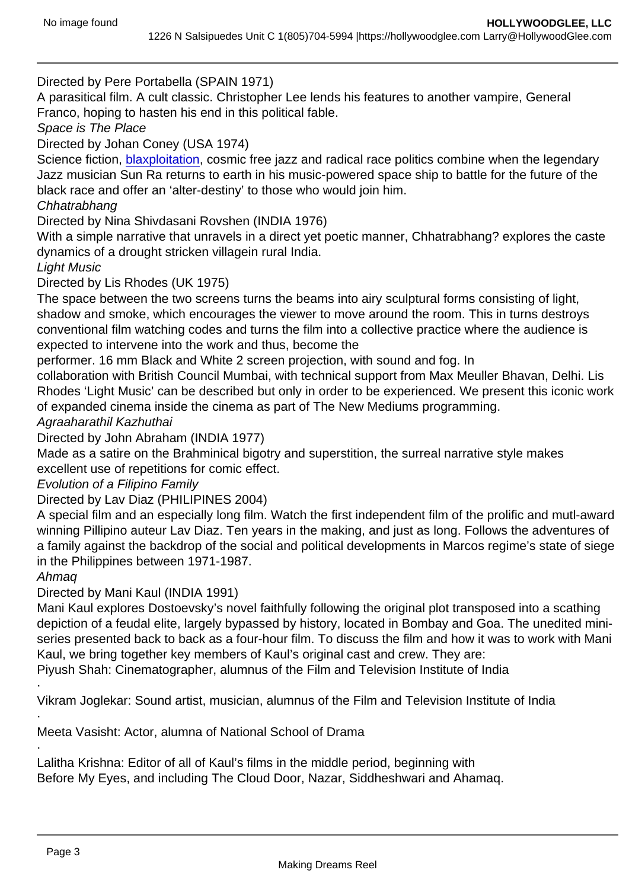Directed by Pere Portabella (SPAIN 1971)

A parasitical film. A cult classic. Christopher Lee lends his features to another vampire, General Franco, hoping to hasten his end in this political fable.

Space is The Place

Directed by Johan Coney (USA 1974)

Science fiction, [blaxploitation](https://hollywoodglee.com/2016/05/27/birth-of-a-blaxploitation/), cosmic free jazz and radical race politics combine when the legendary Jazz musician Sun Ra returns to earth in his music-powered space ship to battle for the future of the black race and offer an 'alter-destiny' to those who would join him.

**Chhatrabhang** 

Directed by Nina Shivdasani Rovshen (INDIA 1976)

With a simple narrative that unravels in a direct yet poetic manner, Chhatrabhang? explores the caste dynamics of a drought stricken villagein rural India.

Light Music

Directed by Lis Rhodes (UK 1975)

The space between the two screens turns the beams into airy sculptural forms consisting of light, shadow and smoke, which encourages the viewer to move around the room. This in turns destroys conventional film watching codes and turns the film into a collective practice where the audience is expected to intervene into the work and thus, become the

performer. 16 mm Black and White 2 screen projection, with sound and fog. In

collaboration with British Council Mumbai, with technical support from Max Meuller Bhavan, Delhi. Lis Rhodes 'Light Music' can be described but only in order to be experienced. We present this iconic work of expanded cinema inside the cinema as part of The New Mediums programming.

Agraaharathil Kazhuthai

Directed by John Abraham (INDIA 1977)

Made as a satire on the Brahminical bigotry and superstition, the surreal narrative style makes excellent use of repetitions for comic effect.

Evolution of a Filipino Family

Directed by Lav Diaz (PHILIPINES 2004)

A special film and an especially long film. Watch the first independent film of the prolific and mutl-award winning Pillipino auteur Lav Diaz. Ten years in the making, and just as long. Follows the adventures of a family against the backdrop of the social and political developments in Marcos regime's state of siege in the Philippines between 1971-1987.

### Ahmaq

·

·

·

Directed by Mani Kaul (INDIA 1991)

Mani Kaul explores Dostoevsky's novel faithfully following the original plot transposed into a scathing depiction of a feudal elite, largely bypassed by history, located in Bombay and Goa. The unedited miniseries presented back to back as a four-hour film. To discuss the film and how it was to work with Mani Kaul, we bring together key members of Kaul's original cast and crew. They are:

Piyush Shah: Cinematographer, alumnus of the Film and Television Institute of India

Vikram Joglekar: Sound artist, musician, alumnus of the Film and Television Institute of India

Meeta Vasisht: Actor, alumna of National School of Drama

Lalitha Krishna: Editor of all of Kaul's films in the middle period, beginning with Before My Eyes, and including The Cloud Door, Nazar, Siddheshwari and Ahamaq.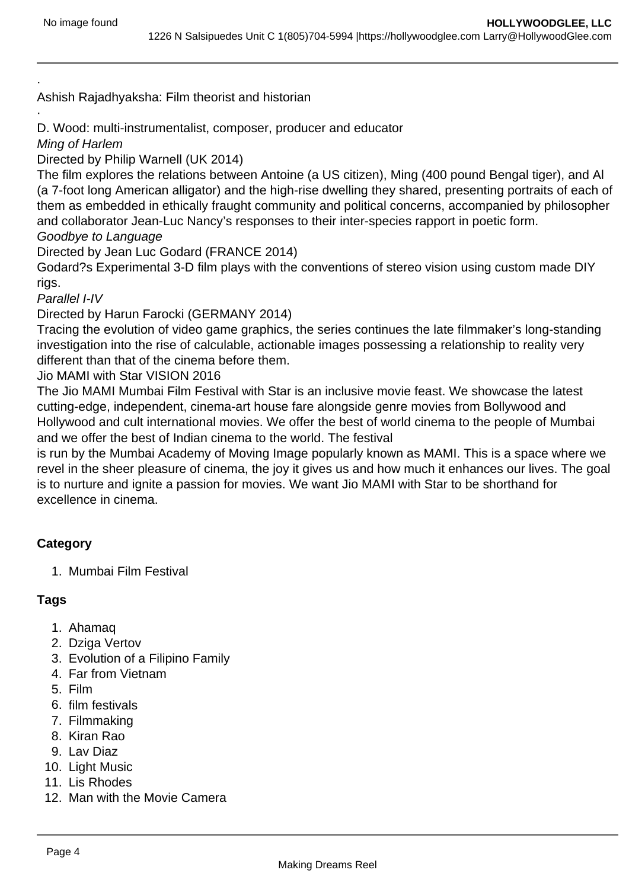Ashish Rajadhyaksha: Film theorist and historian

D. Wood: multi-instrumentalist, composer, producer and educator

Ming of Harlem

·

·

Directed by Philip Warnell (UK 2014)

The film explores the relations between Antoine (a US citizen), Ming (400 pound Bengal tiger), and Al (a 7-foot long American alligator) and the high-rise dwelling they shared, presenting portraits of each of them as embedded in ethically fraught community and political concerns, accompanied by philosopher and collaborator Jean-Luc Nancy's responses to their inter-species rapport in poetic form. Goodbye to Language

Directed by Jean Luc Godard (FRANCE 2014)

Godard?s Experimental 3-D film plays with the conventions of stereo vision using custom made DIY rigs.

Parallel I-IV

Directed by Harun Farocki (GERMANY 2014)

Tracing the evolution of video game graphics, the series continues the late filmmaker's long-standing investigation into the rise of calculable, actionable images possessing a relationship to reality very different than that of the cinema before them.

Jio MAMI with Star VISION 2016

The Jio MAMI Mumbai Film Festival with Star is an inclusive movie feast. We showcase the latest cutting-edge, independent, cinema-art house fare alongside genre movies from Bollywood and Hollywood and cult international movies. We offer the best of world cinema to the people of Mumbai and we offer the best of Indian cinema to the world. The festival

is run by the Mumbai Academy of Moving Image popularly known as MAMI. This is a space where we revel in the sheer pleasure of cinema, the joy it gives us and how much it enhances our lives. The goal is to nurture and ignite a passion for movies. We want Jio MAMI with Star to be shorthand for excellence in cinema.

## **Category**

1. Mumbai Film Festival

## **Tags**

- 1. Ahamaq
- 2. Dziga Vertov
- 3. Evolution of a Filipino Family
- 4. Far from Vietnam
- 5. Film
- 6. film festivals
- 7. Filmmaking
- 8. Kiran Rao
- 9. Lav Diaz
- 10. Light Music
- 11. Lis Rhodes
- 12. Man with the Movie Camera